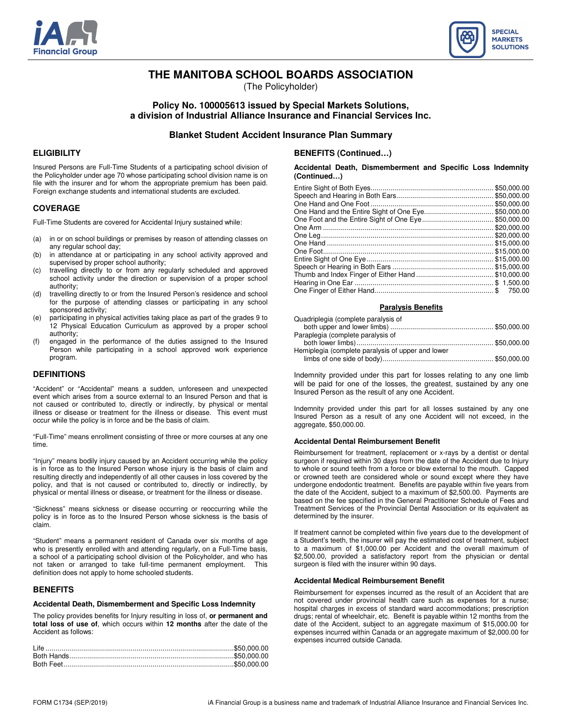



# **THE MANITOBA SCHOOL BOARDS ASSOCIATION**

(The Policyholder)

# **Policy No. 100005613 issued by Special Markets Solutions, a division of Industrial Alliance Insurance and Financial Services Inc.**

# **Blanket Student Accident Insurance Plan Summary**

### **ELIGIBILITY**

Insured Persons are Full-Time Students of a participating school division of the Policyholder under age 70 whose participating school division name is on file with the insurer and for whom the appropriate premium has been paid. Foreign exchange students and international students are excluded.

### **COVERAGE**

Full-Time Students are covered for Accidental Injury sustained while:

- (a) in or on school buildings or premises by reason of attending classes on any regular school day;
- (b) in attendance at or participating in any school activity approved and supervised by proper school authority;
- (c) travelling directly to or from any regularly scheduled and approved school activity under the direction or supervision of a proper school authority;
- (d) travelling directly to or from the Insured Person's residence and school for the purpose of attending classes or participating in any school sponsored activity;
- (e) participating in physical activities taking place as part of the grades 9 to 12 Physical Education Curriculum as approved by a proper school authority;
- (f) engaged in the performance of the duties assigned to the Insured Person while participating in a school approved work experience program.

#### **DEFINITIONS**

"Accident" or "Accidental" means a sudden, unforeseen and unexpected event which arises from a source external to an Insured Person and that is not caused or contributed to, directly or indirectly, by physical or mental illness or disease or treatment for the illness or disease. This event must occur while the policy is in force and be the basis of claim.

"Full-Time" means enrollment consisting of three or more courses at any one time.

"Injury" means bodily injury caused by an Accident occurring while the policy is in force as to the Insured Person whose injury is the basis of claim and resulting directly and independently of all other causes in loss covered by the policy, and that is not caused or contributed to, directly or indirectly, by physical or mental illness or disease, or treatment for the illness or disease.

"Sickness" means sickness or disease occurring or reoccurring while the policy is in force as to the Insured Person whose sickness is the basis of claim.

"Student" means a permanent resident of Canada over six months of age who is presently enrolled with and attending regularly, on a Full-Time basis, a school of a participating school division of the Policyholder, and who has not taken or arranged to take full-time permanent employment. This definition does not apply to home schooled students.

### **BENEFITS**

#### **Accidental Death, Dismemberment and Specific Loss Indemnity**

The policy provides benefits for Injury resulting in loss of, **or permanent and total loss of use of**, which occurs within **12 months** after the date of the Accident as follows:

# **BENEFITS (Continued…)**

#### **Accidental Death, Dismemberment and Specific Loss Indemnity (Continued…)**

| One Hand and the Entire Sight of One Eye\$50,000.00 |        |
|-----------------------------------------------------|--------|
|                                                     |        |
|                                                     |        |
|                                                     |        |
|                                                     |        |
|                                                     |        |
|                                                     |        |
|                                                     |        |
|                                                     |        |
|                                                     |        |
|                                                     | 750.00 |

# **Paralysis Benefits**

| Quadriplegia (complete paralysis of               |  |
|---------------------------------------------------|--|
|                                                   |  |
| Paraplegia (complete paralysis of                 |  |
|                                                   |  |
| Hemiplegia (complete paralysis of upper and lower |  |
|                                                   |  |

Indemnity provided under this part for losses relating to any one limb will be paid for one of the losses, the greatest, sustained by any one Insured Person as the result of any one Accident.

Indemnity provided under this part for all losses sustained by any one Insured Person as a result of any one Accident will not exceed, in the aggregate, \$50,000.00.

#### **Accidental Dental Reimbursement Benefit**

Reimbursement for treatment, replacement or x-rays by a dentist or dental surgeon if required within 30 days from the date of the Accident due to Injury to whole or sound teeth from a force or blow external to the mouth. Capped or crowned teeth are considered whole or sound except where they have undergone endodontic treatment. Benefits are payable within five years from the date of the Accident, subject to a maximum of \$2,500.00. Payments are based on the fee specified in the General Practitioner Schedule of Fees and Treatment Services of the Provincial Dental Association or its equivalent as determined by the insurer.

If treatment cannot be completed within five years due to the development of a Student's teeth, the insurer will pay the estimated cost of treatment, subject to a maximum of \$1,000.00 per Accident and the overall maximum of \$2,500.00, provided a satisfactory report from the physician or dental surgeon is filed with the insurer within 90 days.

#### **Accidental Medical Reimbursement Benefit**

Reimbursement for expenses incurred as the result of an Accident that are not covered under provincial health care such as expenses for a nurse; hospital charges in excess of standard ward accommodations; prescription drugs; rental of wheelchair, etc. Benefit is payable within 12 months from the date of the Accident, subject to an aggregate maximum of \$15,000.00 for expenses incurred within Canada or an aggregate maximum of \$2,000.00 for expenses incurred outside Canada.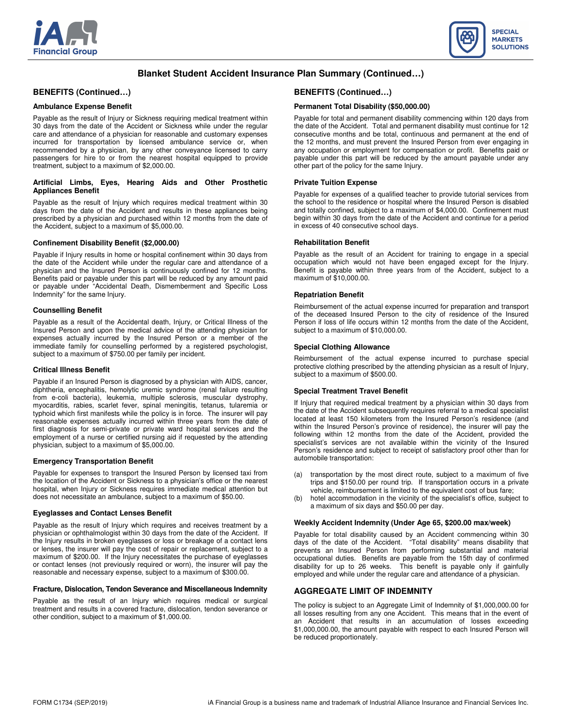



# **Blanket Student Accident Insurance Plan Summary (Continued…)**

# **BENEFITS (Continued…)**

### **Ambulance Expense Benefit**

Payable as the result of Injury or Sickness requiring medical treatment within 30 days from the date of the Accident or Sickness while under the regular care and attendance of a physician for reasonable and customary expenses incurred for transportation by licensed ambulance service or, when recommended by a physician, by any other conveyance licensed to carry passengers for hire to or from the nearest hospital equipped to provide treatment, subject to a maximum of \$2,000.00.

#### **Artificial Limbs, Eyes, Hearing Aids and Other Prosthetic Appliances Benefit**

Payable as the result of Injury which requires medical treatment within 30 days from the date of the Accident and results in these appliances being prescribed by a physician and purchased within 12 months from the date of the Accident, subject to a maximum of \$5,000.00.

#### **Confinement Disability Benefit (\$2,000.00)**

Payable if Injury results in home or hospital confinement within 30 days from the date of the Accident while under the regular care and attendance of a physician and the Insured Person is continuously confined for 12 months. Benefits paid or payable under this part will be reduced by any amount paid or payable under "Accidental Death, Dismemberment and Specific Loss Indemnity" for the same Injury.

#### **Counselling Benefit**

Payable as a result of the Accidental death, Injury, or Critical Illness of the Insured Person and upon the medical advice of the attending physician for expenses actually incurred by the Insured Person or a member of the immediate family for counselling performed by a registered psychologist, subject to a maximum of \$750.00 per family per incident.

#### **Critical Illness Benefit**

Payable if an Insured Person is diagnosed by a physician with AIDS, cancer, diphtheria, encephalitis, hemolytic uremic syndrome (renal failure resulting from e-coli bacteria), leukemia, multiple sclerosis, muscular dystrophy, myocarditis, rabies, scarlet fever, spinal meningitis, tetanus, tularemia or typhoid which first manifests while the policy is in force. The insurer will pay reasonable expenses actually incurred within three years from the date of first diagnosis for semi-private or private ward hospital services and the employment of a nurse or certified nursing aid if requested by the attending physician, subject to a maximum of \$5,000.00.

#### **Emergency Transportation Benefit**

Payable for expenses to transport the Insured Person by licensed taxi from the location of the Accident or Sickness to a physician's office or the nearest hospital, when Injury or Sickness requires immediate medical attention but does not necessitate an ambulance, subject to a maximum of \$50.00.

#### **Eyeglasses and Contact Lenses Benefit**

Payable as the result of Injury which requires and receives treatment by a physician or ophthalmologist within 30 days from the date of the Accident. If the Injury results in broken eyeglasses or loss or breakage of a contact lens or lenses, the insurer will pay the cost of repair or replacement, subject to a maximum of \$200.00. If the Injury necessitates the purchase of eyeglasses or contact lenses (not previously required or worn), the insurer will pay the reasonable and necessary expense, subject to a maximum of \$300.00.

#### **Fracture, Dislocation, Tendon Severance and Miscellaneous Indemnity**

Payable as the result of an Injury which requires medical or surgical treatment and results in a covered fracture, dislocation, tendon severance or other condition, subject to a maximum of \$1,000.00.

# **BENEFITS (Continued…)**

### **Permanent Total Disability (\$50,000.00)**

Payable for total and permanent disability commencing within 120 days from the date of the Accident. Total and permanent disability must continue for 12 consecutive months and be total, continuous and permanent at the end of the 12 months, and must prevent the Insured Person from ever engaging in any occupation or employment for compensation or profit. Benefits paid or payable under this part will be reduced by the amount payable under any other part of the policy for the same Injury.

#### **Private Tuition Expense**

Payable for expenses of a qualified teacher to provide tutorial services from the school to the residence or hospital where the Insured Person is disabled and totally confined, subject to a maximum of \$4,000.00. Confinement must begin within 30 days from the date of the Accident and continue for a period in excess of 40 consecutive school days.

#### **Rehabilitation Benefit**

Payable as the result of an Accident for training to engage in a special occupation which would not have been engaged except for the Injury. Benefit is payable within three years from of the Accident, subject to a maximum of \$10,000.00.

#### **Repatriation Benefit**

Reimbursement of the actual expense incurred for preparation and transport of the deceased Insured Person to the city of residence of the Insured Person if loss of life occurs within 12 months from the date of the Accident, subject to a maximum of \$10,000.00.

### **Special Clothing Allowance**

Reimbursement of the actual expense incurred to purchase special protective clothing prescribed by the attending physician as a result of Injury, subject to a maximum of \$500.00.

### **Special Treatment Travel Benefit**

If Injury that required medical treatment by a physician within 30 days from the date of the Accident subsequently requires referral to a medical specialist located at least 150 kilometers from the Insured Person's residence (and within the Insured Person's province of residence), the insurer will pay the following within 12 months from the date of the Accident, provided the specialist's services are not available within the vicinity of the Insured Person's residence and subject to receipt of satisfactory proof other than for automobile transportation:

- (a) transportation by the most direct route, subject to a maximum of five trips and \$150.00 per round trip. If transportation occurs in a private vehicle, reimbursement is limited to the equivalent cost of bus fare;
- (b) hotel accommodation in the vicinity of the specialist's office, subject to a maximum of six days and \$50.00 per day.

#### **Weekly Accident Indemnity (Under Age 65, \$200.00 max/week)**

Payable for total disability caused by an Accident commencing within 30 days of the date of the Accident. "Total disability" means disability that prevents an Insured Person from performing substantial and material occupational duties. Benefits are payable from the 15th day of confirmed disability for up to 26 weeks. This benefit is payable only if gainfully employed and while under the regular care and attendance of a physician.

### **AGGREGATE LIMIT OF INDEMNITY**

The policy is subject to an Aggregate Limit of Indemnity of \$1,000,000.00 for all losses resulting from any one Accident. This means that in the event of an Accident that results in an accumulation of losses exceeding \$1,000,000.00, the amount payable with respect to each Insured Person will be reduced proportionately.